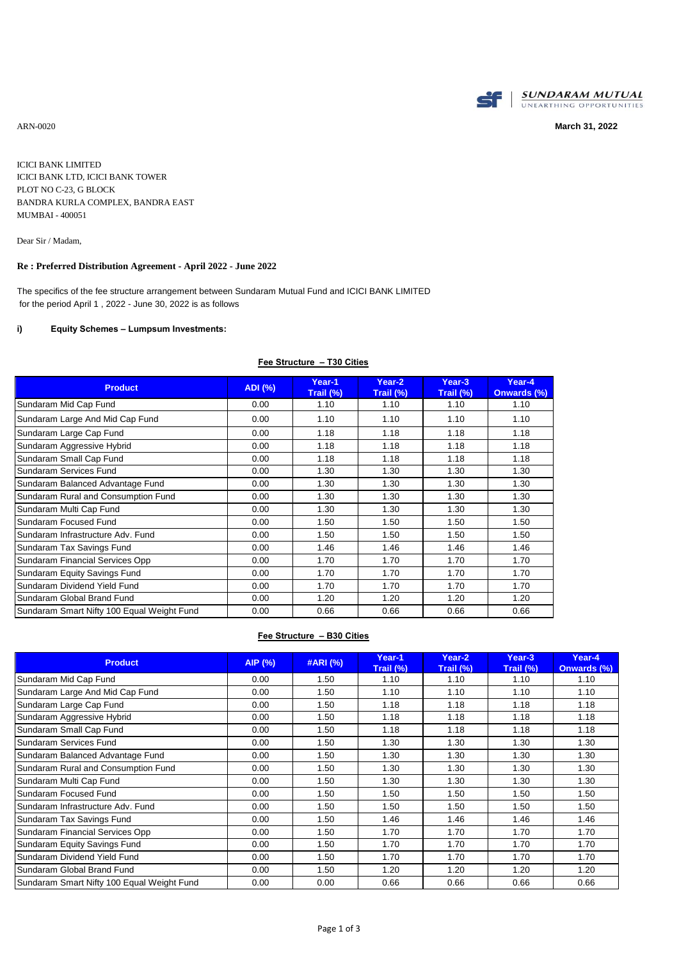

ARN-0020 **March 31, 2022**

ICICI BANK LIMITED ICICI BANK LTD, ICICI BANK TOWER PLOT NO C-23, G BLOCK BANDRA KURLA COMPLEX, BANDRA EAST MUMBAI - 400051

Dear Sir / Madam,

#### **Re : Preferred Distribution Agreement - April 2022 - June 2022**

The specifics of the fee structure arrangement between Sundaram Mutual Fund and ICICI BANK LIMITED for the period April 1 , 2022 - June 30, 2022 is as follows

#### **i) Equity Schemes – Lumpsum Investments:**

| <b>Product</b>                             | <b>ADI</b> (%) | Year-1<br>Trail (%) | Year-2<br>Trail (%) | Year-3<br>Trail (%) | Year-4<br>Onwards (%) |
|--------------------------------------------|----------------|---------------------|---------------------|---------------------|-----------------------|
| Sundaram Mid Cap Fund                      | 0.00           | 1.10                | 1.10                | 1.10                | 1.10                  |
| Sundaram Large And Mid Cap Fund            | 0.00           | 1.10                | 1.10                | 1.10                | 1.10                  |
| Sundaram Large Cap Fund                    | 0.00           | 1.18                | 1.18                | 1.18                | 1.18                  |
| Sundaram Aggressive Hybrid                 | 0.00           | 1.18                | 1.18                | 1.18                | 1.18                  |
| Sundaram Small Cap Fund                    | 0.00           | 1.18                | 1.18                | 1.18                | 1.18                  |
| Sundaram Services Fund                     | 0.00           | 1.30                | 1.30                | 1.30                | 1.30                  |
| Sundaram Balanced Advantage Fund           | 0.00           | 1.30                | 1.30                | 1.30                | 1.30                  |
| Sundaram Rural and Consumption Fund        | 0.00           | 1.30                | 1.30                | 1.30                | 1.30                  |
| Sundaram Multi Cap Fund                    | 0.00           | 1.30                | 1.30                | 1.30                | 1.30                  |
| Sundaram Focused Fund                      | 0.00           | 1.50                | 1.50                | 1.50                | 1.50                  |
| Sundaram Infrastructure Adv. Fund          | 0.00           | 1.50                | 1.50                | 1.50                | 1.50                  |
| Sundaram Tax Savings Fund                  | 0.00           | 1.46                | 1.46                | 1.46                | 1.46                  |
| Sundaram Financial Services Opp            | 0.00           | 1.70                | 1.70                | 1.70                | 1.70                  |
| Sundaram Equity Savings Fund               | 0.00           | 1.70                | 1.70                | 1.70                | 1.70                  |
| Sundaram Dividend Yield Fund               | 0.00           | 1.70                | 1.70                | 1.70                | 1.70                  |
| Sundaram Global Brand Fund                 | 0.00           | 1.20                | 1.20                | 1.20                | 1.20                  |
| Sundaram Smart Nifty 100 Equal Weight Fund | 0.00           | 0.66                | 0.66                | 0.66                | 0.66                  |

## **Fee Structure – T30 Cities**

#### **Fee Structure – B30 Cities**

| <b>Product</b>                             | AIP (%) | #ARI (%) | Year-1<br>Trail (%) | Year-2<br>Trail (%) | Year-3<br>Trail (%) | Year-4<br><b>Onwards (%)</b> |
|--------------------------------------------|---------|----------|---------------------|---------------------|---------------------|------------------------------|
| Sundaram Mid Cap Fund                      | 0.00    | 1.50     | 1.10                | 1.10                | 1.10                | 1.10                         |
| Sundaram Large And Mid Cap Fund            | 0.00    | 1.50     | 1.10                | 1.10                | 1.10                | 1.10                         |
| Sundaram Large Cap Fund                    | 0.00    | 1.50     | 1.18                | 1.18                | 1.18                | 1.18                         |
| Sundaram Aggressive Hybrid                 | 0.00    | 1.50     | 1.18                | 1.18                | 1.18                | 1.18                         |
| Sundaram Small Cap Fund                    | 0.00    | 1.50     | 1.18                | 1.18                | 1.18                | 1.18                         |
| Sundaram Services Fund                     | 0.00    | 1.50     | 1.30                | 1.30                | 1.30                | 1.30                         |
| Sundaram Balanced Advantage Fund           | 0.00    | 1.50     | 1.30                | 1.30                | 1.30                | 1.30                         |
| Sundaram Rural and Consumption Fund        | 0.00    | 1.50     | 1.30                | 1.30                | 1.30                | 1.30                         |
| Sundaram Multi Cap Fund                    | 0.00    | 1.50     | 1.30                | 1.30                | 1.30                | 1.30                         |
| Sundaram Focused Fund                      | 0.00    | 1.50     | 1.50                | 1.50                | 1.50                | 1.50                         |
| Sundaram Infrastructure Adv. Fund          | 0.00    | 1.50     | 1.50                | 1.50                | 1.50                | 1.50                         |
| Sundaram Tax Savings Fund                  | 0.00    | 1.50     | 1.46                | 1.46                | 1.46                | 1.46                         |
| Sundaram Financial Services Opp            | 0.00    | 1.50     | 1.70                | 1.70                | 1.70                | 1.70                         |
| Sundaram Equity Savings Fund               | 0.00    | 1.50     | 1.70                | 1.70                | 1.70                | 1.70                         |
| Sundaram Dividend Yield Fund               | 0.00    | 1.50     | 1.70                | 1.70                | 1.70                | 1.70                         |
| Sundaram Global Brand Fund                 | 0.00    | 1.50     | 1.20                | 1.20                | 1.20                | 1.20                         |
| Sundaram Smart Nifty 100 Equal Weight Fund | 0.00    | 0.00     | 0.66                | 0.66                | 0.66                | 0.66                         |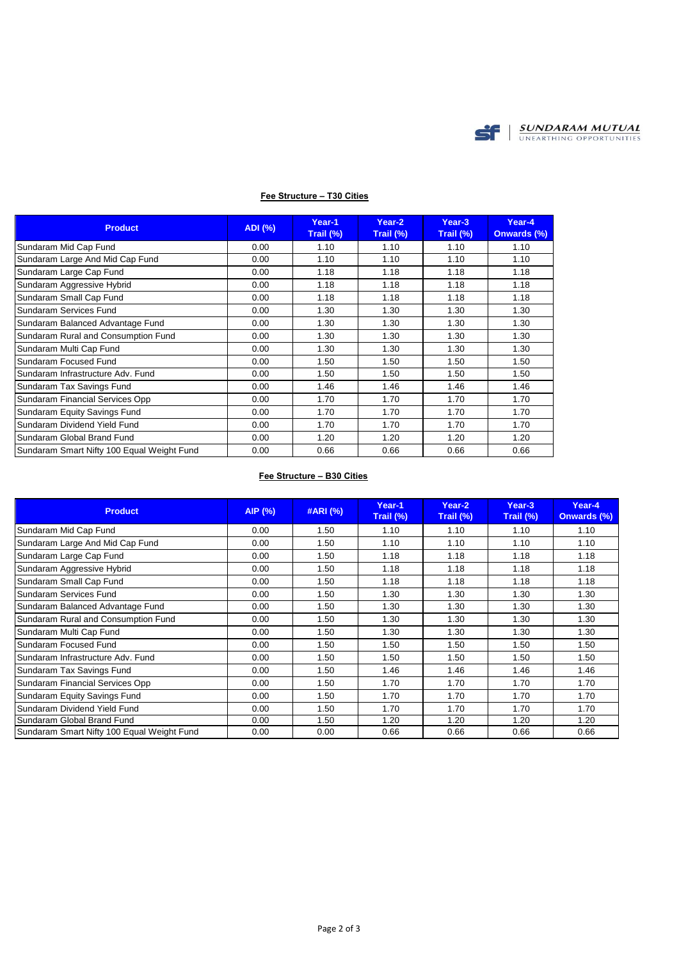

| <b>Product</b>                             | ADI (%) | Year-1<br>Trail $(\%)$ | Year-2<br>Trail $(\%)$ | Year-3<br>Trail (%) | Year-4<br><b>Onwards (%)</b> |
|--------------------------------------------|---------|------------------------|------------------------|---------------------|------------------------------|
| Sundaram Mid Cap Fund                      | 0.00    | 1.10                   | 1.10                   | 1.10                | 1.10                         |
| Sundaram Large And Mid Cap Fund            | 0.00    | 1.10                   | 1.10                   | 1.10                | 1.10                         |
| Sundaram Large Cap Fund                    | 0.00    | 1.18                   | 1.18                   | 1.18                | 1.18                         |
| Sundaram Aggressive Hybrid                 | 0.00    | 1.18                   | 1.18                   | 1.18                | 1.18                         |
| Sundaram Small Cap Fund                    | 0.00    | 1.18                   | 1.18                   | 1.18                | 1.18                         |
| Sundaram Services Fund                     | 0.00    | 1.30                   | 1.30                   | 1.30                | 1.30                         |
| Sundaram Balanced Advantage Fund           | 0.00    | 1.30                   | 1.30                   | 1.30                | 1.30                         |
| Sundaram Rural and Consumption Fund        | 0.00    | 1.30                   | 1.30                   | 1.30                | 1.30                         |
| Sundaram Multi Cap Fund                    | 0.00    | 1.30                   | 1.30                   | 1.30                | 1.30                         |
| Sundaram Focused Fund                      | 0.00    | 1.50                   | 1.50                   | 1.50                | 1.50                         |
| Sundaram Infrastructure Adv. Fund          | 0.00    | 1.50                   | 1.50                   | 1.50                | 1.50                         |
| Sundaram Tax Savings Fund                  | 0.00    | 1.46                   | 1.46                   | 1.46                | 1.46                         |
| Sundaram Financial Services Opp            | 0.00    | 1.70                   | 1.70                   | 1.70                | 1.70                         |
| Sundaram Equity Savings Fund               | 0.00    | 1.70                   | 1.70                   | 1.70                | 1.70                         |
| Sundaram Dividend Yield Fund               | 0.00    | 1.70                   | 1.70                   | 1.70                | 1.70                         |
| Sundaram Global Brand Fund                 | 0.00    | 1.20                   | 1.20                   | 1.20                | 1.20                         |
| Sundaram Smart Nifty 100 Equal Weight Fund | 0.00    | 0.66                   | 0.66                   | 0.66                | 0.66                         |

## **Fee Structure – T30 Cities**

## **Fee Structure – B30 Cities**

| <b>Product</b>                             | AIP (%) | #ARI (%) | Year-1<br>Trail (%) | Year-2<br>Trail (%) | Year-3<br>Trail (%) | Year-4<br><b>Onwards (%)</b> |
|--------------------------------------------|---------|----------|---------------------|---------------------|---------------------|------------------------------|
| Sundaram Mid Cap Fund                      | 0.00    | 1.50     | 1.10                | 1.10                | 1.10                | 1.10                         |
| Sundaram Large And Mid Cap Fund            | 0.00    | 1.50     | 1.10                | 1.10                | 1.10                | 1.10                         |
| Sundaram Large Cap Fund                    | 0.00    | 1.50     | 1.18                | 1.18                | 1.18                | 1.18                         |
| Sundaram Aggressive Hybrid                 | 0.00    | 1.50     | 1.18                | 1.18                | 1.18                | 1.18                         |
| Sundaram Small Cap Fund                    | 0.00    | 1.50     | 1.18                | 1.18                | 1.18                | 1.18                         |
| Sundaram Services Fund                     | 0.00    | 1.50     | 1.30                | 1.30                | 1.30                | 1.30                         |
| Sundaram Balanced Advantage Fund           | 0.00    | 1.50     | 1.30                | 1.30                | 1.30                | 1.30                         |
| Sundaram Rural and Consumption Fund        | 0.00    | 1.50     | 1.30                | 1.30                | 1.30                | 1.30                         |
| Sundaram Multi Cap Fund                    | 0.00    | 1.50     | 1.30                | 1.30                | 1.30                | 1.30                         |
| Sundaram Focused Fund                      | 0.00    | 1.50     | 1.50                | 1.50                | 1.50                | 1.50                         |
| Sundaram Infrastructure Adv. Fund          | 0.00    | 1.50     | 1.50                | 1.50                | 1.50                | 1.50                         |
| Sundaram Tax Savings Fund                  | 0.00    | 1.50     | 1.46                | 1.46                | 1.46                | 1.46                         |
| Sundaram Financial Services Opp            | 0.00    | 1.50     | 1.70                | 1.70                | 1.70                | 1.70                         |
| Sundaram Equity Savings Fund               | 0.00    | 1.50     | 1.70                | 1.70                | 1.70                | 1.70                         |
| Sundaram Dividend Yield Fund               | 0.00    | 1.50     | 1.70                | 1.70                | 1.70                | 1.70                         |
| Sundaram Global Brand Fund                 | 0.00    | 1.50     | 1.20                | 1.20                | 1.20                | 1.20                         |
| Sundaram Smart Nifty 100 Equal Weight Fund | 0.00    | 0.00     | 0.66                | 0.66                | 0.66                | 0.66                         |